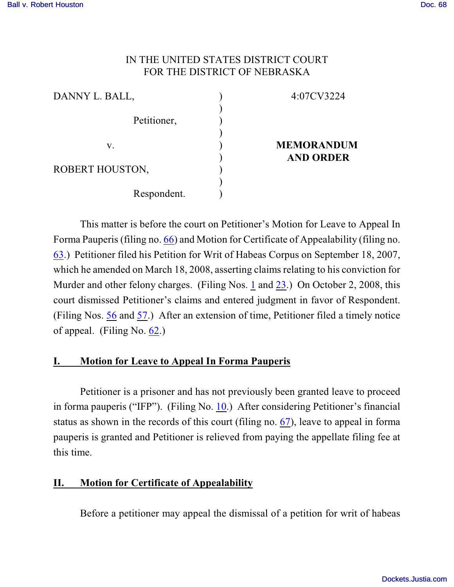# IN THE UNITED STATES DISTRICT COURT FOR THE DISTRICT OF NEBRASKA

| DANNY L. BALL,  | 4:07CV3224        |
|-----------------|-------------------|
| Petitioner,     |                   |
| V.              | <b>MEMORANDUM</b> |
| ROBERT HOUSTON, | <b>AND ORDER</b>  |
| Respondent.     |                   |

This matter is before the court on Petitioner's Motion for Leave to Appeal In Forma Pauperis (filing no. [66](http://ecf.ned.uscourts.gov/doc1/11301600714)) and Motion for Certificate of Appealability (filing no. [63](http://ecf.ned.uscourts.gov/doc1/11301600687).) Petitioner filed his Petition for Writ of Habeas Corpus on September 18, 2007, which he amended on March 18, 2008, asserting claims relating to his conviction for Murder and other felony charges. (Filing Nos. [1](https://ecf.ned.uscourts.gov/doc1/1130635188) and [23](file:///|//v).) On October 2, 2008, this court dismissed Petitioner's claims and entered judgment in favor of Respondent. (Filing Nos. [56](https://ecf.ned.uscourts.gov/doc1/11301554747) and [57](file:///|//v).) After an extension of time, Petitioner filed a timely notice of appeal. (Filing No. [62](http://ecf.ned.uscourts.gov/doc1/11301600674).)

# **I. Motion for Leave to Appeal In Forma Pauperis**

Petitioner is a prisoner and has not previously been granted leave to proceed in forma pauperis ("IFP"). (Filing No. [10](http://ecf.ned.uscourts.gov/doc1/11301312906).) After considering Petitioner's financial status as shown in the records of this court (filing no. [67](http://ecf.ned.uscourts.gov/doc1/11301600717)), leave to appeal in forma pauperis is granted and Petitioner is relieved from paying the appellate filing fee at this time.

### **II. Motion for Certificate of Appealability**

Before a petitioner may appeal the dismissal of a petition for writ of habeas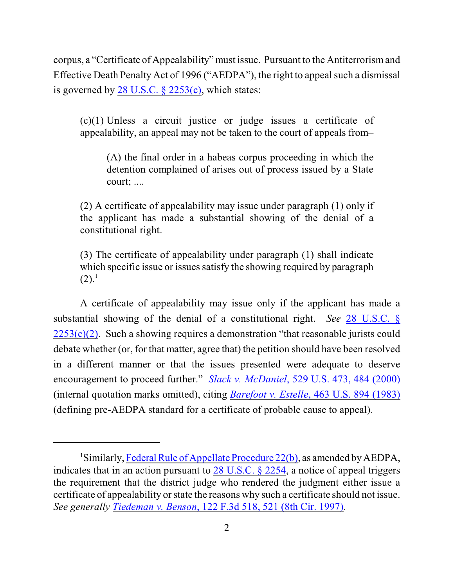corpus, a "Certificate of Appealability" must issue. Pursuant to the Antiterrorism and Effective Death Penalty Act of 1996 ("AEDPA"), the right to appeal such a dismissal is governed by  $28$  U.S.C.  $\S$   $2253(c)$ , which states:

(c)(1) Unless a circuit justice or judge issues a certificate of appealability, an appeal may not be taken to the court of appeals from–

(A) the final order in a habeas corpus proceeding in which the detention complained of arises out of process issued by a State court; ....

(2) A certificate of appealability may issue under paragraph (1) only if the applicant has made a substantial showing of the denial of a constitutional right.

(3) The certificate of appealability under paragraph (1) shall indicate which specific issue or issues satisfy the showing required by paragraph  $(2).<sup>1</sup>$ 

A certificate of appealability may issue only if the applicant has made a substantial showing of the denial of a constitutional right. *See* [28 U.S.C. §](http://web2.westlaw.com/find/default.wl?fn=_top&rs=WLW8.09&rp=%2ffind%2fdefault.wl&mt=Westlaw&vr=2.0&sv=Split&cite=28+U.S.C.+%c2%a7+2253(c)(2))  $2253(c)(2)$ . Such a showing requires a demonstration "that reasonable jurists could debate whether (or, for that matter, agree that) the petition should have been resolved in a different manner or that the issues presented were adequate to deserve encouragement to proceed further." *Slack v. McDaniel*[, 529 U.S. 473, 484 \(2000\)](http://web2.westlaw.com/find/default.wl?fn=_top&rs=WLW8.09&rp=%2ffind%2fdefault.wl&mt=Westlaw&vr=2.0&sv=Split&cite=529+us+484) (internal quotation marks omitted), citing *Barefoot v. Estelle*[, 463 U.S. 894 \(1983\)](http://web2.westlaw.com/find/default.wl?fn=_top&rs=WLW8.09&rp=%2ffind%2fdefault.wl&mt=Westlaw&vr=2.0&sv=Split&cite=463+us+894) (defining pre-AEDPA standard for a certificate of probable cause to appeal).

<sup>&</sup>lt;sup>1</sup>Similarly, [Federal Rule of Appellate Procedure 22\(b\)](http://web2.westlaw.com/find/default.wl?fn=_top&rs=WLW8.09&rp=%2ffind%2fdefault.wl&mt=Westlaw&vr=2.0&sv=Split&cite=frap+22), as amended by AEDPA, indicates that in an action pursuant to [28 U.S.C. § 2254](http://web2.westlaw.com/find/default.wl?fn=_top&rs=WLW8.09&rp=%2ffind%2fdefault.wl&mt=Westlaw&vr=2.0&sv=Split&cite=28+usc+2254), a notice of appeal triggers the requirement that the district judge who rendered the judgment either issue a certificate of appealability or state the reasons why such a certificate should not issue. *See generally Tiedeman v. Benson*[, 122 F.3d 518, 521 \(8th Cir. 1997\)](http://web2.westlaw.com/find/default.wl?fn=_top&rs=WLW8.09&rp=%2ffind%2fdefault.wl&mt=Westlaw&vr=2.0&sv=Split&cite=122+f+3d+521).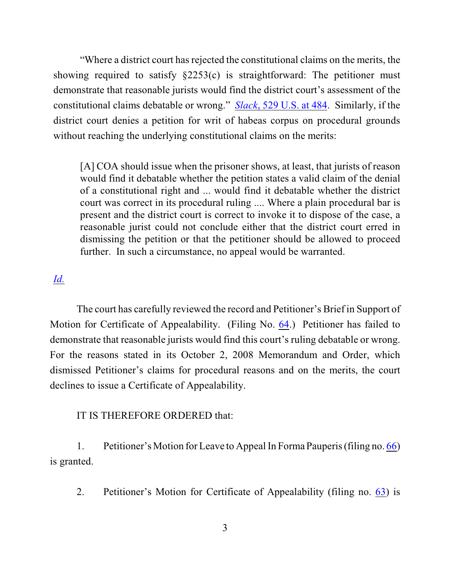"Where a district court has rejected the constitutional claims on the merits, the showing required to satisfy  $\S2253(c)$  is straightforward: The petitioner must demonstrate that reasonable jurists would find the district court's assessment of the constitutional claims debatable or wrong." *Slack*[, 529 U.S. at 484](http://web2.westlaw.com/find/default.wl?fn=_top&rs=WLW8.09&rp=%2ffind%2fdefault.wl&mt=Westlaw&vr=2.0&sv=Split&cite=529+us+484). Similarly, if the district court denies a petition for writ of habeas corpus on procedural grounds without reaching the underlying constitutional claims on the merits:

[A] COA should issue when the prisoner shows, at least, that jurists of reason would find it debatable whether the petition states a valid claim of the denial of a constitutional right and ... would find it debatable whether the district court was correct in its procedural ruling .... Where a plain procedural bar is present and the district court is correct to invoke it to dispose of the case, a reasonable jurist could not conclude either that the district court erred in dismissing the petition or that the petitioner should be allowed to proceed further. In such a circumstance, no appeal would be warranted.

# *[Id.](http://web2.westlaw.com/find/default.wl?fn=_top&rs=WLW8.09&rp=%2ffind%2fdefault.wl&mt=Westlaw&vr=2.0&sv=Split&cite=529+us+484)*

The court has carefully reviewed the record and Petitioner's Brief in Support of Motion for Certificate of Appealability. (Filing No. [64](http://ecf.ned.uscourts.gov/doc1/11301600690).) Petitioner has failed to demonstrate that reasonable jurists would find this court's ruling debatable or wrong. For the reasons stated in its October 2, 2008 Memorandum and Order, which dismissed Petitioner's claims for procedural reasons and on the merits, the court declines to issue a Certificate of Appealability.

#### IT IS THEREFORE ORDERED that:

1. Petitioner's Motion for Leave to Appeal In Forma Pauperis (filing no. [66](http://ecf.ned.uscourts.gov/doc1/11301600714)) is granted.

2. Petitioner's Motion for Certificate of Appealability (filing no. [63](http://ecf.ned.uscourts.gov/doc1/11301600687)) is